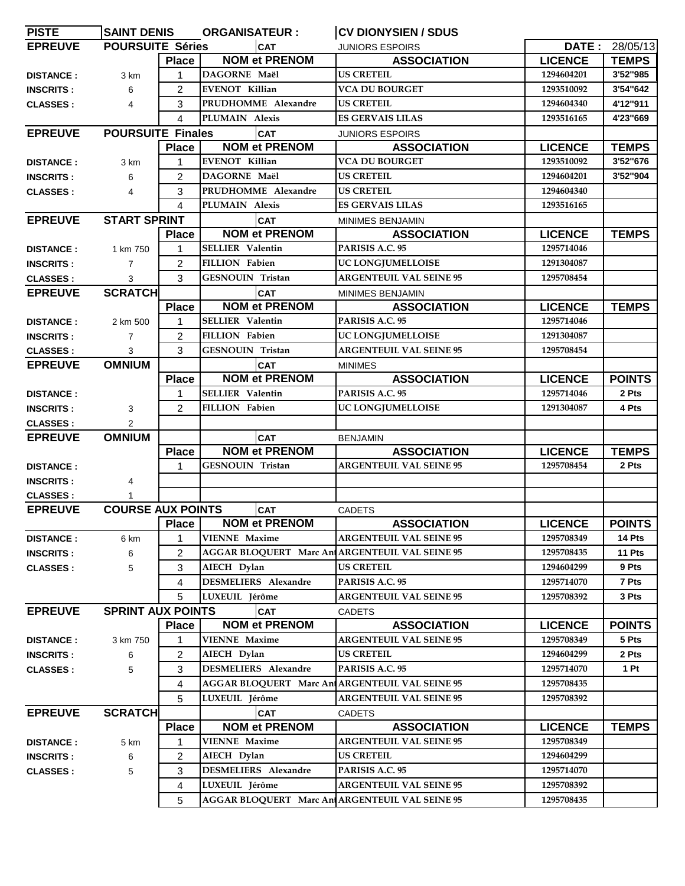| <b>PISTE</b>     | <b>SAINT DENIS</b>       |                                                     | <b>ORGANISATEUR:</b>    |                             | <b>CV DIONYSIEN / SDUS</b>                            |                |               |
|------------------|--------------------------|-----------------------------------------------------|-------------------------|-----------------------------|-------------------------------------------------------|----------------|---------------|
| <b>EPREUVE</b>   | <b>POURSUITE Séries</b>  |                                                     |                         | <b>CAT</b>                  | <b>JUNIORS ESPOIRS</b>                                | DATE:          | 28/05/13      |
|                  |                          | <b>Place</b>                                        |                         | <b>NOM et PRENOM</b>        | <b>ASSOCIATION</b>                                    | <b>LICENCE</b> | <b>TEMPS</b>  |
| <b>DISTANCE:</b> | 3 km                     | 1                                                   | DAGORNE Maël            |                             | <b>US CRETEIL</b>                                     | 1294604201     | 3'52"985      |
| <b>INSCRITS:</b> | 6                        | 2                                                   | <b>EVENOT Killian</b>   |                             | <b>VCA DU BOURGET</b>                                 | 1293510092     | 3'54"642      |
| <b>CLASSES:</b>  | 4                        | 3                                                   | PRUDHOMME Alexandre     |                             | <b>US CRETEIL</b>                                     | 1294604340     | 4'12"911      |
|                  |                          | 4                                                   | PLUMAIN Alexis          |                             | <b>ES GERVAIS LILAS</b>                               | 1293516165     | 4'23"669      |
| <b>EPREUVE</b>   | <b>POURSUITE Finales</b> |                                                     |                         | <b>CAT</b>                  | <b>JUNIORS ESPOIRS</b>                                |                |               |
|                  |                          | <b>Place</b>                                        |                         | <b>NOM et PRENOM</b>        | <b>ASSOCIATION</b>                                    | <b>LICENCE</b> | <b>TEMPS</b>  |
| <b>DISTANCE:</b> | 3 km                     | 1                                                   | <b>EVENOT Killian</b>   |                             | <b>VCA DU BOURGET</b>                                 | 1293510092     | 3'52"676      |
| <b>INSCRITS:</b> | 6                        | 2                                                   | DAGORNE Maël            |                             | <b>US CRETEIL</b>                                     | 1294604201     | 3'52"904      |
| <b>CLASSES:</b>  | 4                        | 3                                                   | PRUDHOMME Alexandre     |                             | US CRETEIL                                            | 1294604340     |               |
|                  |                          | 4                                                   | PLUMAIN Alexis          |                             | <b>ES GERVAIS LILAS</b>                               | 1293516165     |               |
| <b>EPREUVE</b>   | <b>START SPRINT</b>      |                                                     | <b>CAT</b>              |                             | MINIMES BENJAMIN                                      |                |               |
|                  |                          | <b>Place</b>                                        | <b>NOM et PRENOM</b>    |                             | <b>ASSOCIATION</b>                                    | <b>LICENCE</b> | <b>TEMPS</b>  |
| <b>DISTANCE:</b> | 1 km 750                 | 1                                                   | <b>SELLIER</b> Valentin |                             | PARISIS A.C. 95                                       | 1295714046     |               |
| <b>INSCRITS:</b> | $\overline{7}$           | 2                                                   | <b>FILLION Fabien</b>   |                             | UC LONGJUMELLOISE                                     | 1291304087     |               |
| <b>CLASSES:</b>  | 3                        | 3                                                   | GESNOUIN Tristan        |                             | <b>ARGENTEUIL VAL SEINE 95</b>                        | 1295708454     |               |
| <b>EPREUVE</b>   | <b>SCRATCH</b>           |                                                     | <b>CAT</b>              |                             | MINIMES BENJAMIN                                      |                |               |
|                  |                          | <b>Place</b>                                        |                         | <b>NOM et PRENOM</b>        | <b>ASSOCIATION</b>                                    | <b>LICENCE</b> | <b>TEMPS</b>  |
| <b>DISTANCE:</b> | 2 km 500                 | 1                                                   | <b>SELLIER Valentin</b> |                             | PARISIS A.C. 95                                       | 1295714046     |               |
| <b>INSCRITS:</b> | $\overline{7}$           | 2                                                   | <b>FILLION Fabien</b>   |                             | UC LONGJUMELLOISE                                     | 1291304087     |               |
| <b>CLASSES:</b>  | 3                        | 3                                                   | <b>GESNOUIN Tristan</b> |                             | <b>ARGENTEUIL VAL SEINE 95</b>                        | 1295708454     |               |
| <b>EPREUVE</b>   | <b>OMNIUM</b>            |                                                     |                         | <b>CAT</b>                  | <b>MINIMES</b>                                        |                |               |
|                  |                          | <b>Place</b>                                        |                         | <b>NOM et PRENOM</b>        | <b>ASSOCIATION</b>                                    | <b>LICENCE</b> | <b>POINTS</b> |
| <b>DISTANCE:</b> |                          | 1                                                   | <b>SELLIER Valentin</b> |                             | PARISIS A.C. 95                                       | 1295714046     | 2 Pts         |
| <b>INSCRITS:</b> | 3                        | 2                                                   | <b>FILLION Fabien</b>   |                             | UC LONGJUMELLOISE                                     | 1291304087     | 4 Pts         |
| <b>CLASSES:</b>  | $\overline{2}$           |                                                     |                         |                             |                                                       |                |               |
| <b>EPREUVE</b>   | <b>OMNIUM</b>            |                                                     |                         | <b>CAT</b>                  | <b>BENJAMIN</b>                                       |                |               |
|                  |                          | <b>Place</b>                                        |                         | <b>NOM et PRENOM</b>        | <b>ASSOCIATION</b>                                    | <b>LICENCE</b> | <b>TEMPS</b>  |
| <b>DISTANCE:</b> |                          | 1                                                   | GESNOUIN Tristan        |                             | <b>ARGENTEUIL VAL SEINE 95</b>                        | 1295708454     | 2 Pts         |
| <b>INSCRITS:</b> | 4                        |                                                     |                         |                             |                                                       |                |               |
| <b>CLASSES:</b>  |                          |                                                     |                         |                             |                                                       |                |               |
| <b>EPREUVE</b>   | <b>COURSE AUX POINTS</b> |                                                     |                         | <b>CAT</b>                  | <b>CADETS</b>                                         |                |               |
|                  |                          | <b>Place</b>                                        |                         | <b>NOM et PRENOM</b>        | <b>ASSOCIATION</b>                                    | <b>LICENCE</b> | <b>POINTS</b> |
| <b>DISTANCE:</b> | 6 km                     | 1                                                   | <b>VIENNE Maxime</b>    |                             | <b>ARGENTEUIL VAL SEINE 95</b>                        | 1295708349     | 14 Pts        |
| <b>INSCRITS:</b> | 6                        | 2                                                   |                         |                             | <b>AGGAR BLOQUERT Marc An ARGENTEUIL VAL SEINE 95</b> | 1295708435     | 11 Pts        |
| <b>CLASSES:</b>  | 5                        | 3                                                   | AIECH Dylan             |                             | <b>US CRETEIL</b>                                     | 1294604299     | 9 Pts         |
|                  |                          | 4                                                   |                         | <b>DESMELIERS</b> Alexandre | PARISIS A.C. 95                                       | 1295714070     | 7 Pts         |
|                  |                          | 5                                                   | LUXEUIL Jérôme          |                             | <b>ARGENTEUIL VAL SEINE 95</b>                        | 1295708392     | 3 Pts         |
| <b>EPREUVE</b>   | <b>SPRINT AUX POINTS</b> |                                                     |                         | <b>CAT</b>                  |                                                       |                |               |
|                  |                          | <b>Place</b>                                        |                         | <b>NOM et PRENOM</b>        | <b>CADETS</b><br><b>ASSOCIATION</b>                   | <b>LICENCE</b> | <b>POINTS</b> |
|                  |                          |                                                     | <b>VIENNE Maxime</b>    |                             | <b>ARGENTEUIL VAL SEINE 95</b>                        | 1295708349     | 5 Pts         |
| <b>DISTANCE:</b> | 3 km 750                 | 1                                                   |                         |                             |                                                       |                |               |
| <b>INSCRITS:</b> | 6                        | 2                                                   | AIECH Dylan             |                             | US CRETEIL                                            | 1294604299     | 2 Pts         |
| <b>CLASSES:</b>  | 5                        | 3                                                   | DESMELIERS Alexandre    |                             | PARISIS A.C. 95                                       | 1295714070     | 1 Pt          |
|                  |                          | AGGAR BLOQUERT Marc An ARGENTEUIL VAL SEINE 95<br>4 |                         |                             |                                                       | 1295708435     |               |
|                  |                          | 5                                                   | LUXEUIL Jérôme          |                             | <b>ARGENTEUIL VAL SEINE 95</b>                        | 1295708392     |               |
| <b>EPREUVE</b>   | <b>SCRATCH</b>           |                                                     |                         | <b>CAT</b>                  | <b>CADETS</b>                                         |                |               |
|                  |                          | <b>Place</b>                                        |                         | <b>NOM et PRENOM</b>        | <b>ASSOCIATION</b>                                    | <b>LICENCE</b> | <b>TEMPS</b>  |
| <b>DISTANCE:</b> | 5 km                     | 1                                                   | <b>VIENNE Maxime</b>    |                             | <b>ARGENTEUIL VAL SEINE 95</b>                        | 1295708349     |               |
| <b>INSCRITS:</b> | 6                        | 2                                                   | AIECH Dylan             |                             | <b>US CRETEIL</b>                                     | 1294604299     |               |
| <b>CLASSES:</b>  | 5                        | DESMELIERS Alexandre<br>3                           |                         |                             | PARISIS A.C. 95                                       | 1295714070     |               |
|                  |                          | 4                                                   | LUXEUIL Jérôme          |                             | <b>ARGENTEUIL VAL SEINE 95</b>                        | 1295708392     |               |
|                  |                          | 5                                                   |                         |                             | AGGAR BLOQUERT Marc An ARGENTEUIL VAL SEINE 95        | 1295708435     |               |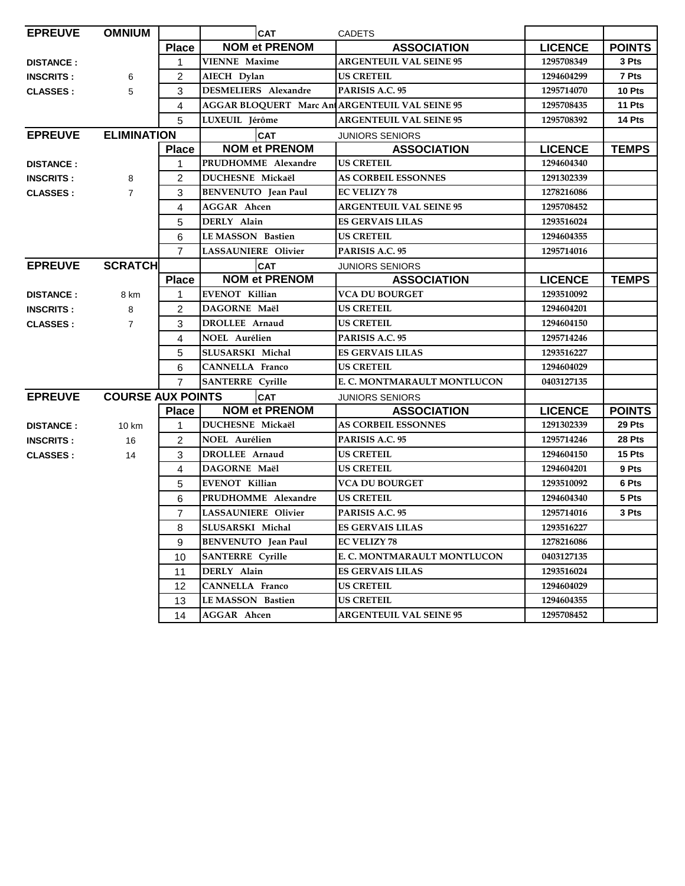| <b>EPREUVE</b>                             | <b>OMNIUM</b>  |                | CAT                         |                                                |                |               |
|--------------------------------------------|----------------|----------------|-----------------------------|------------------------------------------------|----------------|---------------|
|                                            |                | <b>Place</b>   | <b>NOM et PRENOM</b>        | <b>ASSOCIATION</b>                             | <b>LICENCE</b> | <b>POINTS</b> |
| <b>DISTANCE:</b>                           |                | 1              | <b>VIENNE Maxime</b>        | <b>ARGENTEUIL VAL SEINE 95</b>                 | 1295708349     | 3 Pts         |
| <b>INSCRITS:</b>                           | 6              | $\overline{2}$ | AIECH Dylan                 | <b>US CRETEIL</b>                              | 1294604299     | 7 Pts         |
| <b>CLASSES:</b>                            | 5              | 3              | <b>DESMELIERS</b> Alexandre | PARISIS A.C. 95                                | 1295714070     | 10 Pts        |
|                                            |                | 4              |                             | AGGAR BLOQUERT Marc An ARGENTEUIL VAL SEINE 95 | 1295708435     | 11 Pts        |
|                                            |                | 5              | LUXEUIL Jérôme              | <b>ARGENTEUIL VAL SEINE 95</b>                 | 1295708392     | 14 Pts        |
| <b>ELIMINATION</b><br><b>EPREUVE</b>       |                |                | <b>CAT</b>                  | <b>JUNIORS SENIORS</b>                         |                |               |
|                                            |                | <b>Place</b>   | <b>NOM et PRENOM</b>        | <b>ASSOCIATION</b>                             | <b>LICENCE</b> | <b>TEMPS</b>  |
| <b>DISTANCE:</b>                           |                | 1              | PRUDHOMME Alexandre         | <b>US CRETEIL</b>                              | 1294604340     |               |
| <b>INSCRITS:</b>                           | 8              | $\overline{2}$ | DUCHESNE Mickaël            | <b>AS CORBEIL ESSONNES</b>                     | 1291302339     |               |
| $\overline{7}$<br><b>CLASSES:</b>          |                | 3              | <b>BENVENUTO</b> Jean Paul  | <b>EC VELIZY 78</b>                            | 1278216086     |               |
|                                            |                | 4              | <b>AGGAR Ahcen</b>          | <b>ARGENTEUIL VAL SEINE 95</b>                 | 1295708452     |               |
|                                            |                | 5              | DERLY Alain                 | <b>ES GERVAIS LILAS</b>                        | 1293516024     |               |
|                                            |                | 6              | <b>LEMASSON Bastien</b>     | US CRETEIL                                     | 1294604355     |               |
|                                            |                | $\overline{7}$ | <b>LASSAUNIERE Olivier</b>  | PARISIS A.C. 95                                | 1295714016     |               |
| <b>EPREUVE</b>                             | <b>SCRATCH</b> |                | <b>CAT</b>                  | <b>JUNIORS SENIORS</b>                         |                |               |
|                                            |                | <b>Place</b>   | <b>NOM et PRENOM</b>        | <b>ASSOCIATION</b>                             | <b>LICENCE</b> | <b>TEMPS</b>  |
| <b>DISTANCE:</b>                           | 8 km           | 1              | EVENOT Killian              | <b>VCA DU BOURGET</b>                          | 1293510092     |               |
| <b>INSCRITS:</b>                           | 8              | $\mathcal{P}$  | DAGORNE Maël                | <b>US CRETEIL</b>                              | 1294604201     |               |
| <b>CLASSES:</b>                            | $\overline{7}$ | 3              | DROLLEE Arnaud              | US CRETEIL                                     | 1294604150     |               |
|                                            |                | 4              | <b>NOEL Aurélien</b>        | PARISIS A.C. 95                                | 1295714246     |               |
|                                            |                | 5              | SLUSARSKI Michal            | <b>ES GERVAIS LILAS</b>                        | 1293516227     |               |
|                                            |                | 6              | <b>CANNELLA Franco</b>      | <b>US CRETEIL</b>                              | 1294604029     |               |
|                                            |                | $\overline{7}$ | <b>SANTERRE</b> Cyrille     | E. C. MONTMARAULT MONTLUCON                    | 0403127135     |               |
| <b>COURSE AUX POINTS</b><br><b>EPREUVE</b> |                |                | <b>CAT</b>                  | <b>JUNIORS SENIORS</b>                         |                |               |
|                                            |                | <b>Place</b>   | <b>NOM et PRENOM</b>        | <b>ASSOCIATION</b>                             | <b>LICENCE</b> | <b>POINTS</b> |
| <b>DISTANCE:</b>                           | 10 km          |                | DUCHESNE Mickaël            | <b>AS CORBEIL ESSONNES</b>                     | 1291302339     | 29 Pts        |
| <b>INSCRITS:</b>                           | 16             | $\overline{2}$ | <b>NOEL Aurélien</b>        | PARISIS A.C. 95                                | 1295714246     | 28 Pts        |
| <b>CLASSES:</b>                            | 14             | 3              | <b>DROLLEE</b> Arnaud       | <b>US CRETEIL</b>                              | 1294604150     | 15 Pts        |
|                                            |                | 4              | DAGORNE Maël                | <b>US CRETEIL</b>                              | 1294604201     | 9 Pts         |
|                                            |                | 5              | <b>EVENOT Killian</b>       | <b>VCA DU BOURGET</b>                          | 1293510092     | 6 Pts         |
|                                            |                | 6              | PRUDHOMME Alexandre         | <b>US CRETEIL</b>                              | 1294604340     | 5 Pts         |
|                                            |                | $\overline{7}$ | <b>LASSAUNIERE Olivier</b>  | PARISIS A.C. 95                                | 1295714016     | 3 Pts         |
|                                            |                | 8              | SLUSARSKI Michal            | <b>ES GERVAIS LILAS</b>                        | 1293516227     |               |
|                                            |                | 9              | <b>BENVENUTO</b> Jean Paul  | <b>EC VELIZY 78</b>                            | 1278216086     |               |
|                                            |                | 10             | <b>SANTERRE Cyrille</b>     | E. C. MONTMARAULT MONTLUCON                    | 0403127135     |               |
|                                            |                | 11             | DERLY Alain                 | <b>ES GERVAIS LILAS</b>                        | 1293516024     |               |
|                                            |                | 12             | <b>CANNELLA Franco</b>      | US CRETEIL                                     | 1294604029     |               |
|                                            |                | 13             | LE MASSON Bastien           | <b>US CRETEIL</b>                              | 1294604355     |               |
|                                            |                | 14             | <b>AGGAR</b> Ahcen          | <b>ARGENTEUIL VAL SEINE 95</b>                 | 1295708452     |               |